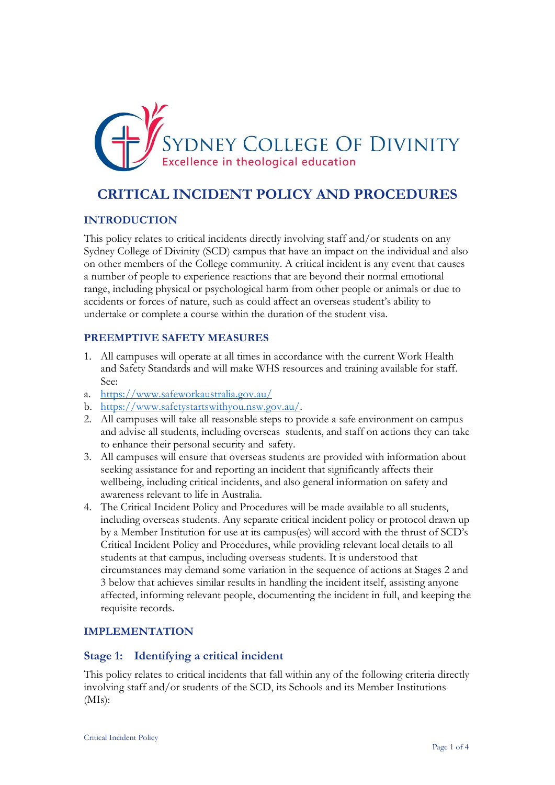

# **CRITICAL INCIDENT POLICY AND PROCEDURES**

### **INTRODUCTION**

This policy relates to critical incidents directly involving staff and/or students on any Sydney College of Divinity (SCD) campus that have an impact on the individual and also on other members of the College community. A critical incident is any event that causes a number of people to experience reactions that are beyond their normal emotional range, including physical or psychological harm from other people or animals or due to accidents or forces of nature, such as could affect an overseas student's ability to undertake or complete a course within the duration of the student visa.

#### **PREEMPTIVE SAFETY MEASURES**

- 1. All campuses will operate at all times in accordance with the current Work Health and Safety Standards and will make WHS resources and training available for staff. See:
- a. <https://www.safeworkaustralia.gov.au/>
- b. [https://www.safetystartswithyou.nsw.gov.au/.](https://www.safetystartswithyou.nsw.gov.au/)
- 2. All campuses will take all reasonable steps to provide a safe environment on campus and advise all students, including overseas students, and staff on actions they can take to enhance their personal security and safety.
- 3. All campuses will ensure that overseas students are provided with information about seeking assistance for and reporting an incident that significantly affects their wellbeing, including critical incidents, and also general information on safety and awareness relevant to life in Australia.
- 4. The Critical Incident Policy and Procedures will be made available to all students, including overseas students. Any separate critical incident policy or protocol drawn up by a Member Institution for use at its campus(es) will accord with the thrust of SCD's Critical Incident Policy and Procedures, while providing relevant local details to all students at that campus, including overseas students. It is understood that circumstances may demand some variation in the sequence of actions at Stages 2 and 3 below that achieves similar results in handling the incident itself, assisting anyone affected, informing relevant people, documenting the incident in full, and keeping the requisite records.

#### **IMPLEMENTATION**

### **Stage 1: Identifying a critical incident**

This policy relates to critical incidents that fall within any of the following criteria directly involving staff and/or students of the SCD, its Schools and its Member Institutions  $(MIs):$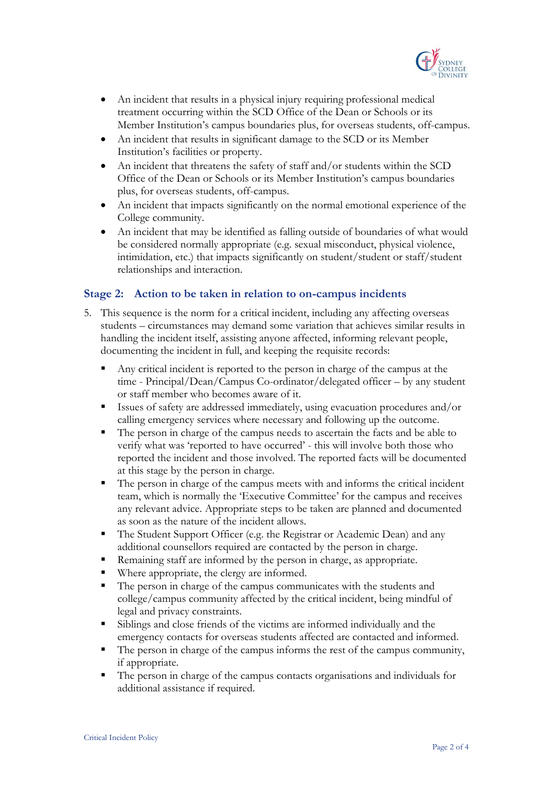

- An incident that results in a physical injury requiring professional medical treatment occurring within the SCD Office of the Dean or Schools or its Member Institution's campus boundaries plus, for overseas students, off-campus.
- An incident that results in significant damage to the SCD or its Member Institution's facilities or property.
- An incident that threatens the safety of staff and/or students within the SCD Office of the Dean or Schools or its Member Institution's campus boundaries plus, for overseas students, off-campus.
- An incident that impacts significantly on the normal emotional experience of the College community.
- An incident that may be identified as falling outside of boundaries of what would be considered normally appropriate (e.g. sexual misconduct, physical violence, intimidation, etc.) that impacts significantly on student/student or staff/student relationships and interaction.

### **Stage 2: Action to be taken in relation to on-campus incidents**

- 5. This sequence is the norm for a critical incident, including any affecting overseas students – circumstances may demand some variation that achieves similar results in handling the incident itself, assisting anyone affected, informing relevant people, documenting the incident in full, and keeping the requisite records:
	- Any critical incident is reported to the person in charge of the campus at the time - Principal/Dean/Campus Co-ordinator/delegated officer – by any student or staff member who becomes aware of it.
	- Issues of safety are addressed immediately, using evacuation procedures and/or calling emergency services where necessary and following up the outcome.
	- The person in charge of the campus needs to ascertain the facts and be able to verify what was 'reported to have occurred' - this will involve both those who reported the incident and those involved. The reported facts will be documented at this stage by the person in charge.
	- The person in charge of the campus meets with and informs the critical incident team, which is normally the 'Executive Committee' for the campus and receives any relevant advice. Appropriate steps to be taken are planned and documented as soon as the nature of the incident allows.
	- The Student Support Officer (e.g. the Registrar or Academic Dean) and any additional counsellors required are contacted by the person in charge.
	- Remaining staff are informed by the person in charge, as appropriate.
	- Where appropriate, the clergy are informed.
	- The person in charge of the campus communicates with the students and college/campus community affected by the critical incident, being mindful of legal and privacy constraints.
	- Siblings and close friends of the victims are informed individually and the emergency contacts for overseas students affected are contacted and informed.
	- The person in charge of the campus informs the rest of the campus community, if appropriate.
	- The person in charge of the campus contacts organisations and individuals for additional assistance if required.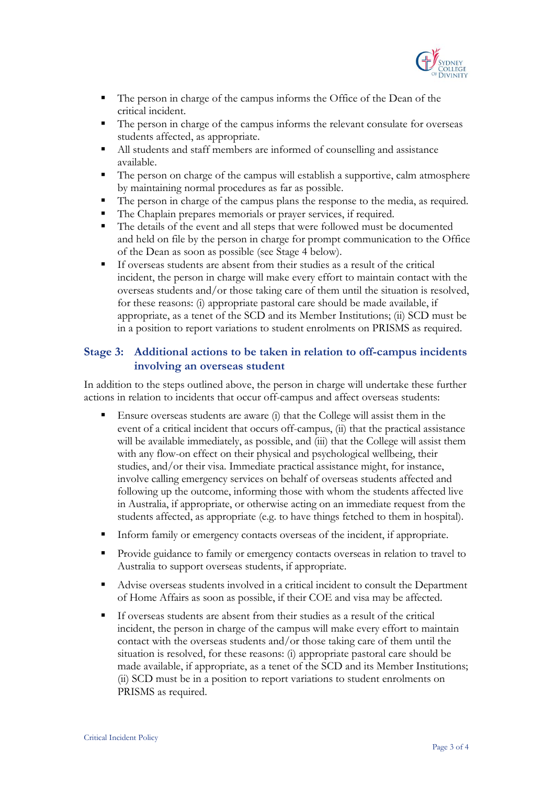

- The person in charge of the campus informs the Office of the Dean of the critical incident.
- The person in charge of the campus informs the relevant consulate for overseas students affected, as appropriate.
- All students and staff members are informed of counselling and assistance available.
- The person on charge of the campus will establish a supportive, calm atmosphere by maintaining normal procedures as far as possible.
- The person in charge of the campus plans the response to the media, as required.
- The Chaplain prepares memorials or prayer services, if required.
- The details of the event and all steps that were followed must be documented and held on file by the person in charge for prompt communication to the Office of the Dean as soon as possible (see Stage 4 below).
- If overseas students are absent from their studies as a result of the critical incident, the person in charge will make every effort to maintain contact with the overseas students and/or those taking care of them until the situation is resolved, for these reasons: (i) appropriate pastoral care should be made available, if appropriate, as a tenet of the SCD and its Member Institutions; (ii) SCD must be in a position to report variations to student enrolments on PRISMS as required.

# **Stage 3: Additional actions to be taken in relation to off-campus incidents involving an overseas student**

In addition to the steps outlined above, the person in charge will undertake these further actions in relation to incidents that occur off-campus and affect overseas students:

- Ensure overseas students are aware (i) that the College will assist them in the event of a critical incident that occurs off-campus, (ii) that the practical assistance will be available immediately, as possible, and (iii) that the College will assist them with any flow-on effect on their physical and psychological wellbeing, their studies, and/or their visa. Immediate practical assistance might, for instance, involve calling emergency services on behalf of overseas students affected and following up the outcome, informing those with whom the students affected live in Australia, if appropriate, or otherwise acting on an immediate request from the students affected, as appropriate (e.g. to have things fetched to them in hospital).
- Inform family or emergency contacts overseas of the incident, if appropriate.
- Provide guidance to family or emergency contacts overseas in relation to travel to Australia to support overseas students, if appropriate.
- Advise overseas students involved in a critical incident to consult the Department of Home Affairs as soon as possible, if their COE and visa may be affected.
- If overseas students are absent from their studies as a result of the critical incident, the person in charge of the campus will make every effort to maintain contact with the overseas students and/or those taking care of them until the situation is resolved, for these reasons: (i) appropriate pastoral care should be made available, if appropriate, as a tenet of the SCD and its Member Institutions; (ii) SCD must be in a position to report variations to student enrolments on PRISMS as required.